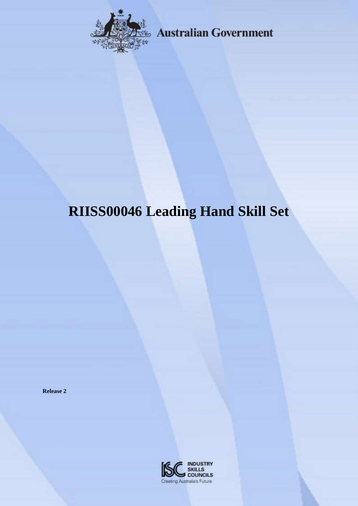

Australian Government

# **RIISS00046 Leading Hand Skill Set**

**Release 2**

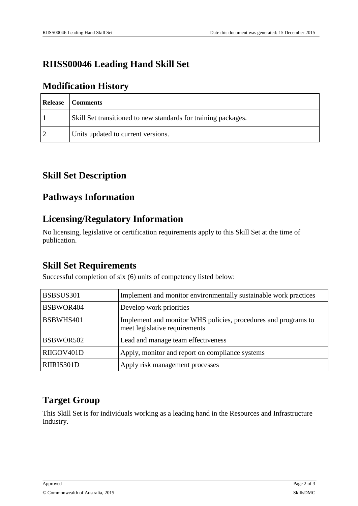## **RIISS00046 Leading Hand Skill Set**

#### **Modification History**

| <b>Release</b> | <b>Comments</b>                                                |
|----------------|----------------------------------------------------------------|
|                | Skill Set transitioned to new standards for training packages. |
| $\overline{2}$ | Units updated to current versions.                             |

## **Skill Set Description**

### **Pathways Information**

#### **Licensing/Regulatory Information**

No licensing, legislative or certification requirements apply to this Skill Set at the time of publication.

### **Skill Set Requirements**

Successful completion of six (6) units of competency listed below:

| <b>BSBSUS301</b>        | Implement and monitor environmentally sustainable work practices                                |
|-------------------------|-------------------------------------------------------------------------------------------------|
| <b>BSBWOR404</b>        | Develop work priorities                                                                         |
| <b>BSBWHS401</b>        | Implement and monitor WHS policies, procedures and programs to<br>meet legislative requirements |
| <b>BSBWOR502</b>        | Lead and manage team effectiveness                                                              |
| RIIGOV <sub>401</sub> D | Apply, monitor and report on compliance systems                                                 |
| <b>RIIRIS301D</b>       | Apply risk management processes                                                                 |

## **Target Group**

This Skill Set is for individuals working as a leading hand in the Resources and Infrastructure Industry.